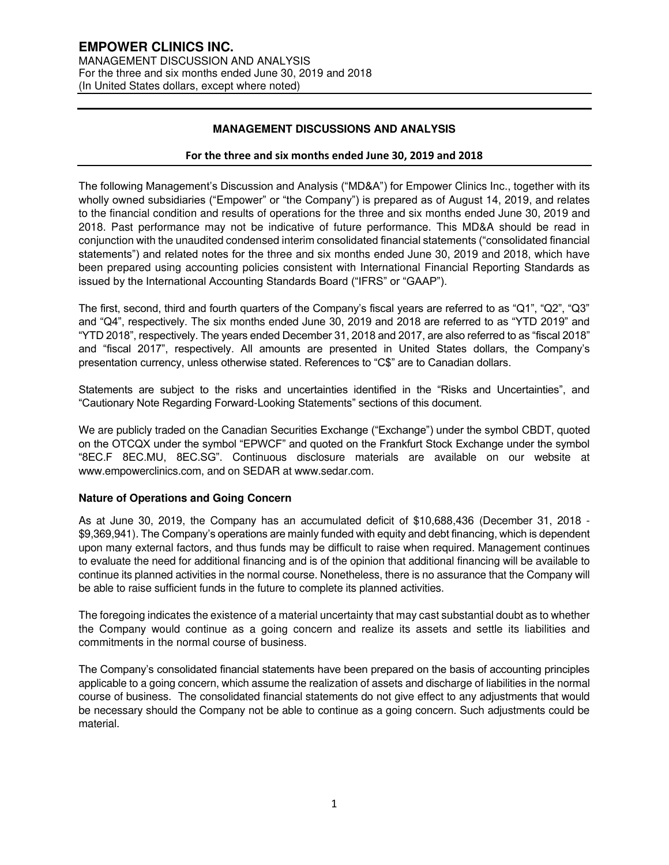# **MANAGEMENT DISCUSSIONS AND ANALYSIS**

# **For the three and six months ended June 30, 2019 and 2018**

The following Management's Discussion and Analysis ("MD&A") for Empower Clinics Inc., together with its wholly owned subsidiaries ("Empower" or "the Company") is prepared as of August 14, 2019, and relates to the financial condition and results of operations for the three and six months ended June 30, 2019 and 2018. Past performance may not be indicative of future performance. This MD&A should be read in conjunction with the unaudited condensed interim consolidated financial statements ("consolidated financial statements") and related notes for the three and six months ended June 30, 2019 and 2018, which have been prepared using accounting policies consistent with International Financial Reporting Standards as issued by the International Accounting Standards Board ("IFRS" or "GAAP").

The first, second, third and fourth quarters of the Company's fiscal years are referred to as "Q1", "Q2", "Q3" and "Q4", respectively. The six months ended June 30, 2019 and 2018 are referred to as "YTD 2019" and "YTD 2018", respectively. The years ended December 31, 2018 and 2017, are also referred to as "fiscal 2018" and "fiscal 2017", respectively. All amounts are presented in United States dollars, the Company's presentation currency, unless otherwise stated. References to "C\$" are to Canadian dollars.

Statements are subject to the risks and uncertainties identified in the "Risks and Uncertainties", and "Cautionary Note Regarding Forward-Looking Statements" sections of this document.

We are publicly traded on the Canadian Securities Exchange ("Exchange") under the symbol CBDT, quoted on the OTCQX under the symbol "EPWCF" and quoted on the Frankfurt Stock Exchange under the symbol "8EC.F 8EC.MU, 8EC.SG". Continuous disclosure materials are available on our website at www.empowerclinics.com, and on SEDAR at www.sedar.com.

# **Nature of Operations and Going Concern**

As at June 30, 2019, the Company has an accumulated deficit of \$10,688,436 (December 31, 2018 - \$9,369,941). The Company's operations are mainly funded with equity and debt financing, which is dependent upon many external factors, and thus funds may be difficult to raise when required. Management continues to evaluate the need for additional financing and is of the opinion that additional financing will be available to continue its planned activities in the normal course. Nonetheless, there is no assurance that the Company will be able to raise sufficient funds in the future to complete its planned activities.

The foregoing indicates the existence of a material uncertainty that may cast substantial doubt as to whether the Company would continue as a going concern and realize its assets and settle its liabilities and commitments in the normal course of business.

The Company's consolidated financial statements have been prepared on the basis of accounting principles applicable to a going concern, which assume the realization of assets and discharge of liabilities in the normal course of business. The consolidated financial statements do not give effect to any adjustments that would be necessary should the Company not be able to continue as a going concern. Such adjustments could be material.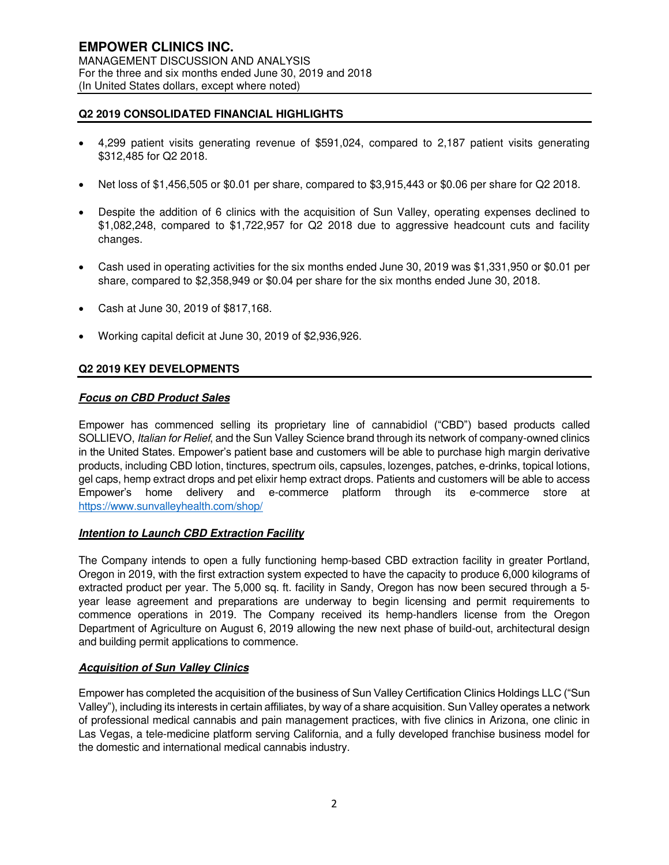# **Q2 2019 CONSOLIDATED FINANCIAL HIGHLIGHTS**

- 4,299 patient visits generating revenue of \$591,024, compared to 2,187 patient visits generating \$312,485 for Q2 2018.
- Net loss of \$1,456,505 or \$0.01 per share, compared to \$3,915,443 or \$0.06 per share for Q2 2018.
- Despite the addition of 6 clinics with the acquisition of Sun Valley, operating expenses declined to \$1,082,248, compared to \$1,722,957 for Q2 2018 due to aggressive headcount cuts and facility changes.
- Cash used in operating activities for the six months ended June 30, 2019 was \$1,331,950 or \$0.01 per share, compared to \$2,358,949 or \$0.04 per share for the six months ended June 30, 2018.
- Cash at June 30, 2019 of \$817,168.
- Working capital deficit at June 30, 2019 of \$2,936,926.

# **Q2 2019 KEY DEVELOPMENTS**

# **Focus on CBD Product Sales**

Empower has commenced selling its proprietary line of cannabidiol ("CBD") based products called SOLLIEVO, Italian for Relief, and the Sun Valley Science brand through its network of company-owned clinics in the United States. Empower's patient base and customers will be able to purchase high margin derivative products, including CBD lotion, tinctures, spectrum oils, capsules, lozenges, patches, e-drinks, topical lotions, gel caps, hemp extract drops and pet elixir hemp extract drops. Patients and customers will be able to access Empower's home delivery and e-commerce platform through its e-commerce store at <https://www.sunvalleyhealth.com/shop/>

#### **Intention to Launch CBD Extraction Facility**

The Company intends to open a fully functioning hemp-based CBD extraction facility in greater Portland, Oregon in 2019, with the first extraction system expected to have the capacity to produce 6,000 kilograms of extracted product per year. The 5,000 sq. ft. facility in Sandy, Oregon has now been secured through a 5 year lease agreement and preparations are underway to begin licensing and permit requirements to commence operations in 2019. The Company received its hemp-handlers license from the Oregon Department of Agriculture on August 6, 2019 allowing the new next phase of build-out, architectural design and building permit applications to commence.

#### **Acquisition of Sun Valley Clinics**

Empower has completed the acquisition of the business of Sun Valley Certification Clinics Holdings LLC ("Sun Valley"), including its interests in certain affiliates, by way of a share acquisition. Sun Valley operates a network of professional medical cannabis and pain management practices, with five clinics in Arizona, one clinic in Las Vegas, a tele-medicine platform serving California, and a fully developed franchise business model for the domestic and international medical cannabis industry.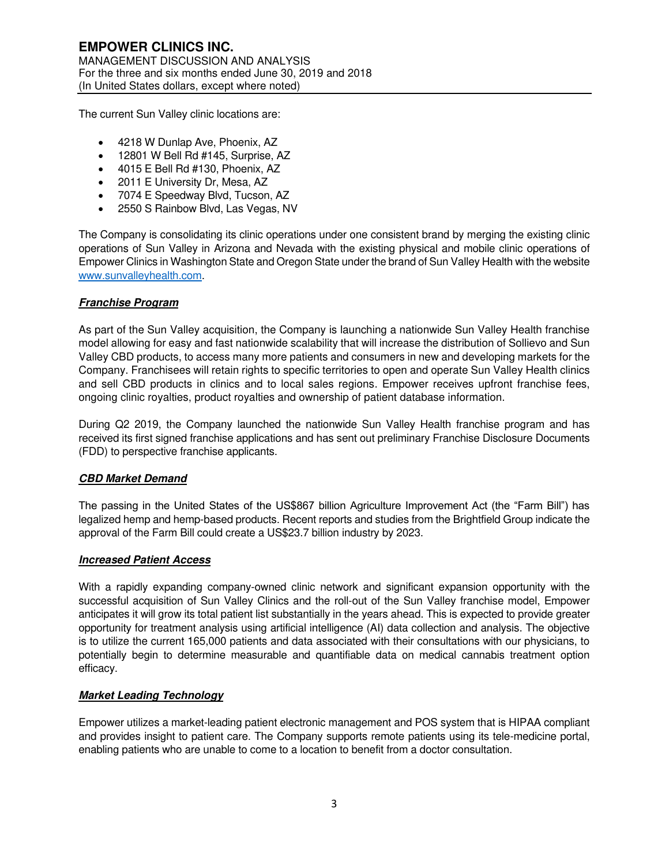The current Sun Valley clinic locations are:

- 4218 W Dunlap Ave, Phoenix, AZ
- 12801 W Bell Rd #145, Surprise, AZ
- 4015 E Bell Rd #130, Phoenix, AZ
- 2011 E University Dr. Mesa, AZ
- 7074 E Speedway Blvd, Tucson, AZ
- 2550 S Rainbow Blvd, Las Vegas, NV

The Company is consolidating its clinic operations under one consistent brand by merging the existing clinic operations of Sun Valley in Arizona and Nevada with the existing physical and mobile clinic operations of Empower Clinics in Washington State and Oregon State under the brand of Sun Valley Health with the website [www.sunvalleyhealth.com.](http://www.sunvalleyhealth.com/)

# **Franchise Program**

As part of the Sun Valley acquisition, the Company is launching a nationwide Sun Valley Health franchise model allowing for easy and fast nationwide scalability that will increase the distribution of Sollievo and Sun Valley CBD products, to access many more patients and consumers in new and developing markets for the Company. Franchisees will retain rights to specific territories to open and operate Sun Valley Health clinics and sell CBD products in clinics and to local sales regions. Empower receives upfront franchise fees, ongoing clinic royalties, product royalties and ownership of patient database information.

During Q2 2019, the Company launched the nationwide Sun Valley Health franchise program and has received its first signed franchise applications and has sent out preliminary Franchise Disclosure Documents (FDD) to perspective franchise applicants.

#### **CBD Market Demand**

The passing in the United States of the US\$867 billion Agriculture Improvement Act (the "Farm Bill") has legalized hemp and hemp-based products. Recent reports and studies from the Brightfield Group indicate the approval of the Farm Bill could create a US\$23.7 billion industry by 2023.

#### **Increased Patient Access**

With a rapidly expanding company-owned clinic network and significant expansion opportunity with the successful acquisition of Sun Valley Clinics and the roll-out of the Sun Valley franchise model, Empower anticipates it will grow its total patient list substantially in the years ahead. This is expected to provide greater opportunity for treatment analysis using artificial intelligence (AI) data collection and analysis. The objective is to utilize the current 165,000 patients and data associated with their consultations with our physicians, to potentially begin to determine measurable and quantifiable data on medical cannabis treatment option efficacy.

#### **Market Leading Technology**

Empower utilizes a market-leading patient electronic management and POS system that is HIPAA compliant and provides insight to patient care. The Company supports remote patients using its tele-medicine portal, enabling patients who are unable to come to a location to benefit from a doctor consultation.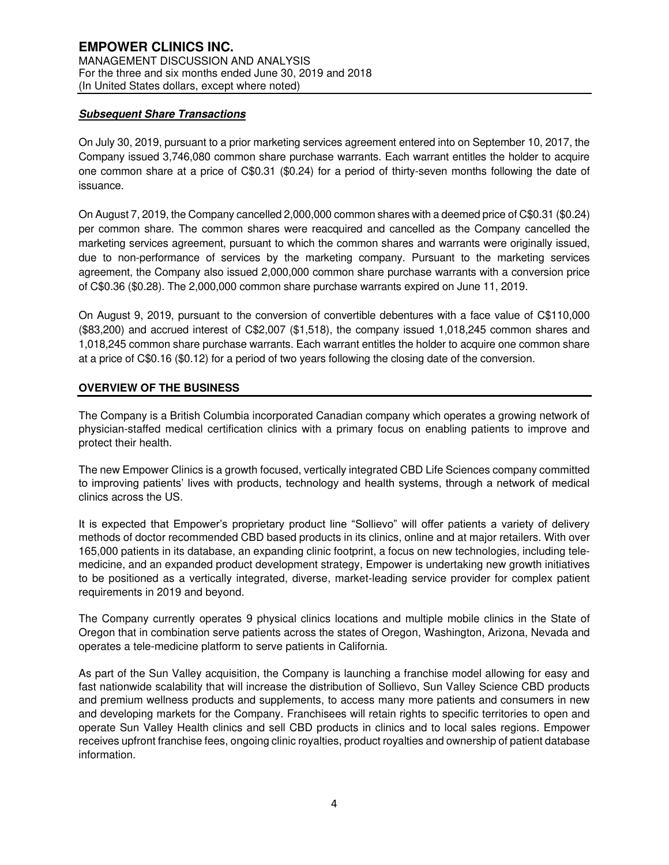# **Subsequent Share Transactions**

On July 30, 2019, pursuant to a prior marketing services agreement entered into on September 10, 2017, the Company issued 3,746,080 common share purchase warrants. Each warrant entitles the holder to acquire one common share at a price of C\$0.31 (\$0.24) for a period of thirty-seven months following the date of issuance.

On August 7, 2019, the Company cancelled 2,000,000 common shares with a deemed price of C\$0.31 (\$0.24) per common share. The common shares were reacquired and cancelled as the Company cancelled the marketing services agreement, pursuant to which the common shares and warrants were originally issued, due to non-performance of services by the marketing company. Pursuant to the marketing services agreement, the Company also issued 2,000,000 common share purchase warrants with a conversion price of C\$0.36 (\$0.28). The 2,000,000 common share purchase warrants expired on June 11, 2019.

On August 9, 2019, pursuant to the conversion of convertible debentures with a face value of C\$110,000 (\$83,200) and accrued interest of C\$2,007 (\$1,518), the company issued 1,018,245 common shares and 1,018,245 common share purchase warrants. Each warrant entitles the holder to acquire one common share at a price of C\$0.16 (\$0.12) for a period of two years following the closing date of the conversion.

# **OVERVIEW OF THE BUSINESS**

The Company is a British Columbia incorporated Canadian company which operates a growing network of physician-staffed medical certification clinics with a primary focus on enabling patients to improve and protect their health.

The new Empower Clinics is a growth focused, vertically integrated CBD Life Sciences company committed to improving patients' lives with products, technology and health systems, through a network of medical clinics across the US.

It is expected that Empower's proprietary product line "Sollievo" will offer patients a variety of delivery methods of doctor recommended CBD based products in its clinics, online and at major retailers. With over 165,000 patients in its database, an expanding clinic footprint, a focus on new technologies, including telemedicine, and an expanded product development strategy, Empower is undertaking new growth initiatives to be positioned as a vertically integrated, diverse, market-leading service provider for complex patient requirements in 2019 and beyond.

The Company currently operates 9 physical clinics locations and multiple mobile clinics in the State of Oregon that in combination serve patients across the states of Oregon, Washington, Arizona, Nevada and operates a tele-medicine platform to serve patients in California.

As part of the Sun Valley acquisition, the Company is launching a franchise model allowing for easy and fast nationwide scalability that will increase the distribution of Sollievo, Sun Valley Science CBD products and premium wellness products and supplements, to access many more patients and consumers in new and developing markets for the Company. Franchisees will retain rights to specific territories to open and operate Sun Valley Health clinics and sell CBD products in clinics and to local sales regions. Empower receives upfront franchise fees, ongoing clinic royalties, product royalties and ownership of patient database information.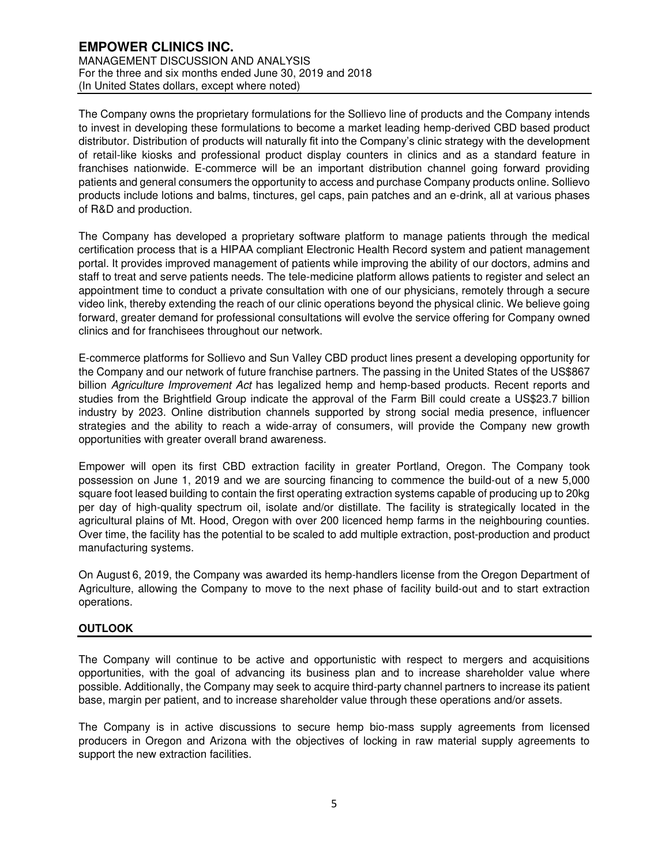The Company owns the proprietary formulations for the Sollievo line of products and the Company intends to invest in developing these formulations to become a market leading hemp-derived CBD based product distributor. Distribution of products will naturally fit into the Company's clinic strategy with the development of retail-like kiosks and professional product display counters in clinics and as a standard feature in franchises nationwide. E-commerce will be an important distribution channel going forward providing patients and general consumers the opportunity to access and purchase Company products online. Sollievo products include lotions and balms, tinctures, gel caps, pain patches and an e-drink, all at various phases of R&D and production.

The Company has developed a proprietary software platform to manage patients through the medical certification process that is a HIPAA compliant Electronic Health Record system and patient management portal. It provides improved management of patients while improving the ability of our doctors, admins and staff to treat and serve patients needs. The tele-medicine platform allows patients to register and select an appointment time to conduct a private consultation with one of our physicians, remotely through a secure video link, thereby extending the reach of our clinic operations beyond the physical clinic. We believe going forward, greater demand for professional consultations will evolve the service offering for Company owned clinics and for franchisees throughout our network.

E-commerce platforms for Sollievo and Sun Valley CBD product lines present a developing opportunity for the Company and our network of future franchise partners. The passing in the United States of the US\$867 billion Agriculture Improvement Act has legalized hemp and hemp-based products. Recent reports and studies from the Brightfield Group indicate the approval of the Farm Bill could create a US\$23.7 billion industry by 2023. Online distribution channels supported by strong social media presence, influencer strategies and the ability to reach a wide-array of consumers, will provide the Company new growth opportunities with greater overall brand awareness.

Empower will open its first CBD extraction facility in greater Portland, Oregon. The Company took possession on June 1, 2019 and we are sourcing financing to commence the build-out of a new 5,000 square foot leased building to contain the first operating extraction systems capable of producing up to 20kg per day of high-quality spectrum oil, isolate and/or distillate. The facility is strategically located in the agricultural plains of Mt. Hood, Oregon with over 200 licenced hemp farms in the neighbouring counties. Over time, the facility has the potential to be scaled to add multiple extraction, post-production and product manufacturing systems.

On August 6, 2019, the Company was awarded its hemp-handlers license from the Oregon Department of Agriculture, allowing the Company to move to the next phase of facility build-out and to start extraction operations.

# **OUTLOOK**

The Company will continue to be active and opportunistic with respect to mergers and acquisitions opportunities, with the goal of advancing its business plan and to increase shareholder value where possible. Additionally, the Company may seek to acquire third-party channel partners to increase its patient base, margin per patient, and to increase shareholder value through these operations and/or assets.

The Company is in active discussions to secure hemp bio-mass supply agreements from licensed producers in Oregon and Arizona with the objectives of locking in raw material supply agreements to support the new extraction facilities.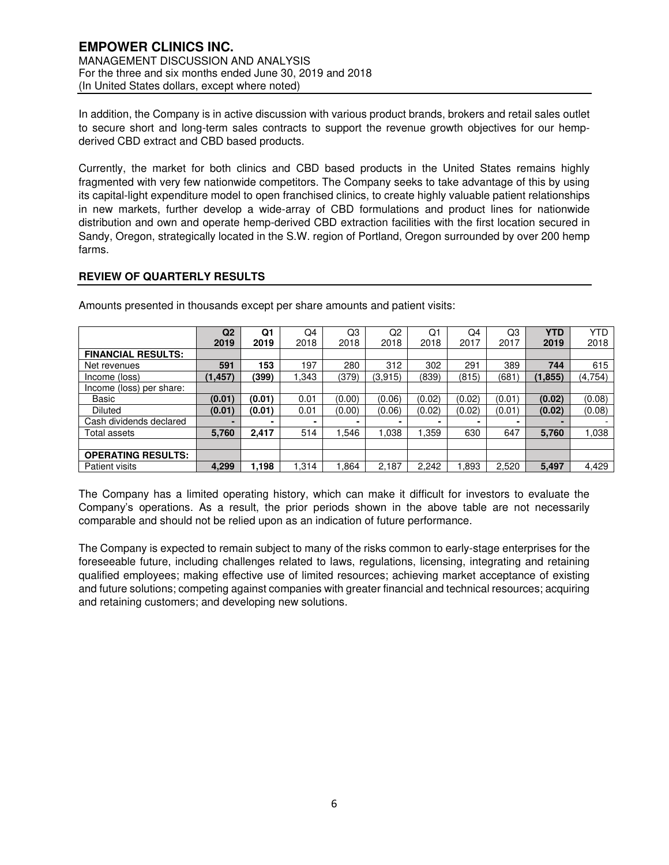In addition, the Company is in active discussion with various product brands, brokers and retail sales outlet to secure short and long-term sales contracts to support the revenue growth objectives for our hempderived CBD extract and CBD based products.

Currently, the market for both clinics and CBD based products in the United States remains highly fragmented with very few nationwide competitors. The Company seeks to take advantage of this by using its capital-light expenditure model to open franchised clinics, to create highly valuable patient relationships in new markets, further develop a wide-array of CBD formulations and product lines for nationwide distribution and own and operate hemp-derived CBD extraction facilities with the first location secured in Sandy, Oregon, strategically located in the S.W. region of Portland, Oregon surrounded by over 200 hemp farms.

# **REVIEW OF QUARTERLY RESULTS**

|                           | Q <sub>2</sub> | Q1     | Q4     | Q3     | Q2      | Q1     | Q4     | Q3     | <b>YTD</b> | <b>YTD</b> |
|---------------------------|----------------|--------|--------|--------|---------|--------|--------|--------|------------|------------|
|                           | 2019           | 2019   | 2018   | 2018   | 2018    | 2018   | 2017   | 2017   | 2019       | 2018       |
| <b>FINANCIAL RESULTS:</b> |                |        |        |        |         |        |        |        |            |            |
| Net revenues              | 591            | 153    | 197    | 280    | 312     | 302    | 291    | 389    | 744        | 615        |
| Income (loss)             | (1, 457)       | (399)  | 343. ا | (379)  | (3,915) | (839)  | (815)  | '681   | (1, 855)   | (4,754)    |
| Income (loss) per share:  |                |        |        |        |         |        |        |        |            |            |
| Basic                     | (0.01)         | (0.01) | 0.01   | (0.00) | (0.06)  | (0.02) | (0.02) | (0.01) | (0.02)     | (0.08)     |
| <b>Diluted</b>            | (0.01)         | (0.01) | 0.01   | (0.00) | (0.06)  | (0.02) | (0.02) | (0.01) | (0.02)     | (0.08)     |
| Cash dividends declared   |                |        |        |        |         |        |        |        |            |            |
| Total assets              | 5,760          | 2,417  | 514    | .546   | .038    | 1,359  | 630    | 647    | 5,760      | 1,038      |
|                           |                |        |        |        |         |        |        |        |            |            |
| <b>OPERATING RESULTS:</b> |                |        |        |        |         |        |        |        |            |            |
| Patient visits            | 4,299          | 1,198  | 1,314  | .864   | 2,187   | 2,242  | .893   | 2,520  | 5,497      | 4,429      |

Amounts presented in thousands except per share amounts and patient visits:

The Company has a limited operating history, which can make it difficult for investors to evaluate the Company's operations. As a result, the prior periods shown in the above table are not necessarily comparable and should not be relied upon as an indication of future performance.

The Company is expected to remain subject to many of the risks common to early-stage enterprises for the foreseeable future, including challenges related to laws, regulations, licensing, integrating and retaining qualified employees; making effective use of limited resources; achieving market acceptance of existing and future solutions; competing against companies with greater financial and technical resources; acquiring and retaining customers; and developing new solutions.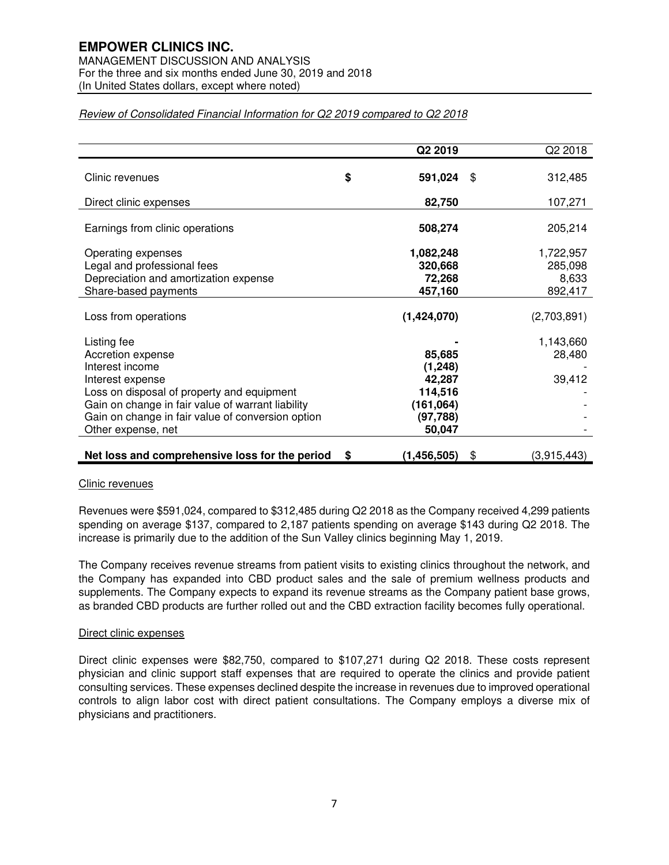# **EMPOWER CLINICS INC.**

MANAGEMENT DISCUSSION AND ANALYSIS For the three and six months ended June 30, 2019 and 2018 (In United States dollars, except where noted)

# **Q2 2019** Q2 2018 Clinic revenues **\$ 591,024** \$ 312,485 Direct clinic expenses **82,750** 107,271 Earnings from clinic operations **508,274** 205,214 Operating expenses **1,082,248** 1,722,957 Legal and professional fees **320,668** 285,098 Depreciation and amortization expense **72,268** 8,633 Share-based payments **457,160** 892,417 Loss from operations **(1,424,070)** (2,703,891) Listing fee **-** 1,143,660 Accretion expense **85,685** 28,480 Interest income **(1,248) (1,248)** Interest expense **42,287** 39,412 Loss on disposal of property and equipment **114,516** Gain on change in fair value of warrant liability **Fig. 161,064** (161,064) Gain on change in fair value of conversion option **(97,788)** Other expense, net **50,047**

# Review of Consolidated Financial Information for Q2 2019 compared to Q2 2018

# **Net loss and comprehensive loss for the period**  $\quad$  **\$ (1,456,505)**  $\quad$  (3,915,443)

# Clinic revenues

Revenues were \$591,024, compared to \$312,485 during Q2 2018 as the Company received 4,299 patients spending on average \$137, compared to 2,187 patients spending on average \$143 during Q2 2018. The increase is primarily due to the addition of the Sun Valley clinics beginning May 1, 2019.

The Company receives revenue streams from patient visits to existing clinics throughout the network, and the Company has expanded into CBD product sales and the sale of premium wellness products and supplements. The Company expects to expand its revenue streams as the Company patient base grows, as branded CBD products are further rolled out and the CBD extraction facility becomes fully operational.

# Direct clinic expenses

Direct clinic expenses were \$82,750, compared to \$107,271 during Q2 2018. These costs represent physician and clinic support staff expenses that are required to operate the clinics and provide patient consulting services. These expenses declined despite the increase in revenues due to improved operational controls to align labor cost with direct patient consultations. The Company employs a diverse mix of physicians and practitioners.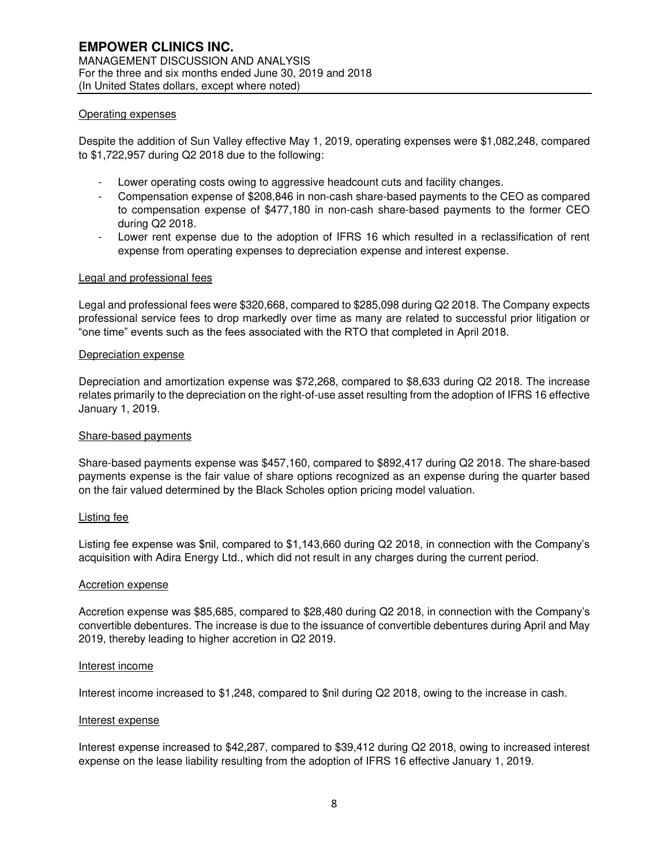#### Operating expenses

Despite the addition of Sun Valley effective May 1, 2019, operating expenses were \$1,082,248, compared to \$1,722,957 during Q2 2018 due to the following:

- Lower operating costs owing to aggressive headcount cuts and facility changes.
- Compensation expense of \$208,846 in non-cash share-based payments to the CEO as compared to compensation expense of \$477,180 in non-cash share-based payments to the former CEO during Q2 2018.
- Lower rent expense due to the adoption of IFRS 16 which resulted in a reclassification of rent expense from operating expenses to depreciation expense and interest expense.

#### Legal and professional fees

Legal and professional fees were \$320,668, compared to \$285,098 during Q2 2018. The Company expects professional service fees to drop markedly over time as many are related to successful prior litigation or "one time" events such as the fees associated with the RTO that completed in April 2018.

#### Depreciation expense

Depreciation and amortization expense was \$72,268, compared to \$8,633 during Q2 2018. The increase relates primarily to the depreciation on the right-of-use asset resulting from the adoption of IFRS 16 effective January 1, 2019.

#### Share-based payments

Share-based payments expense was \$457,160, compared to \$892,417 during Q2 2018. The share-based payments expense is the fair value of share options recognized as an expense during the quarter based on the fair valued determined by the Black Scholes option pricing model valuation.

#### Listing fee

Listing fee expense was \$nil, compared to \$1,143,660 during Q2 2018, in connection with the Company's acquisition with Adira Energy Ltd., which did not result in any charges during the current period.

#### Accretion expense

Accretion expense was \$85,685, compared to \$28,480 during Q2 2018, in connection with the Company's convertible debentures. The increase is due to the issuance of convertible debentures during April and May 2019, thereby leading to higher accretion in Q2 2019.

#### Interest income

Interest income increased to \$1,248, compared to \$nil during Q2 2018, owing to the increase in cash.

#### Interest expense

Interest expense increased to \$42,287, compared to \$39,412 during Q2 2018, owing to increased interest expense on the lease liability resulting from the adoption of IFRS 16 effective January 1, 2019.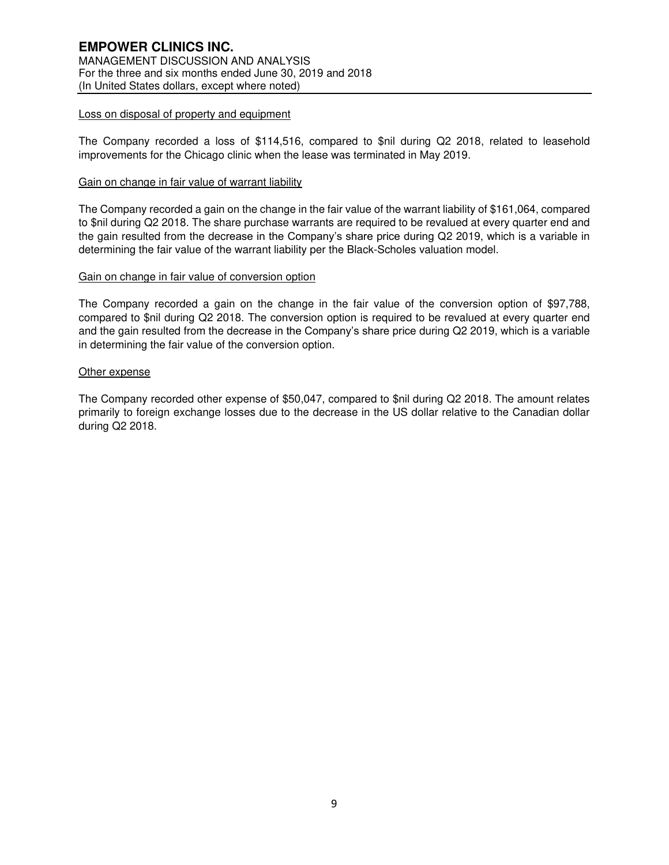### Loss on disposal of property and equipment

The Company recorded a loss of \$114,516, compared to \$nil during Q2 2018, related to leasehold improvements for the Chicago clinic when the lease was terminated in May 2019.

#### Gain on change in fair value of warrant liability

The Company recorded a gain on the change in the fair value of the warrant liability of \$161,064, compared to \$nil during Q2 2018. The share purchase warrants are required to be revalued at every quarter end and the gain resulted from the decrease in the Company's share price during Q2 2019, which is a variable in determining the fair value of the warrant liability per the Black-Scholes valuation model.

#### Gain on change in fair value of conversion option

The Company recorded a gain on the change in the fair value of the conversion option of \$97,788, compared to \$nil during Q2 2018. The conversion option is required to be revalued at every quarter end and the gain resulted from the decrease in the Company's share price during Q2 2019, which is a variable in determining the fair value of the conversion option.

#### Other expense

The Company recorded other expense of \$50,047, compared to \$nil during Q2 2018. The amount relates primarily to foreign exchange losses due to the decrease in the US dollar relative to the Canadian dollar during Q2 2018.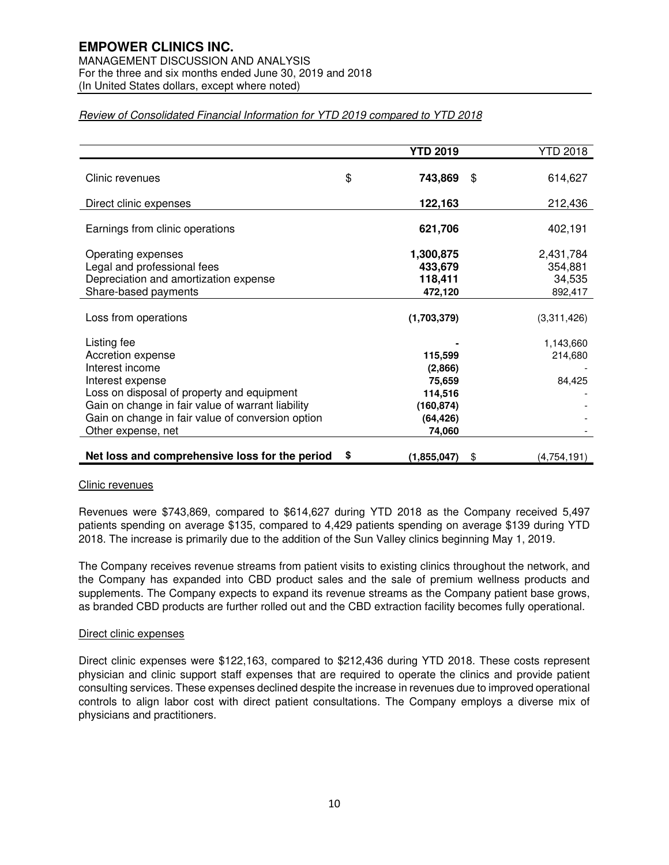# **EMPOWER CLINICS INC.**

MANAGEMENT DISCUSSION AND ANALYSIS For the three and six months ended June 30, 2019 and 2018 (In United States dollars, except where noted)

|                                                   | <b>YTD 2019</b>     | <b>YTD 2018</b>   |
|---------------------------------------------------|---------------------|-------------------|
| Clinic revenues                                   | \$<br>743,869       | \$<br>614,627     |
|                                                   |                     |                   |
| Direct clinic expenses                            | 122,163             | 212,436           |
| Earnings from clinic operations                   | 621,706             | 402,191           |
| Operating expenses                                | 1,300,875           | 2,431,784         |
| Legal and professional fees                       | 433,679             | 354,881           |
| Depreciation and amortization expense             | 118,411             | 34,535            |
| Share-based payments                              | 472,120             | 892,417           |
| Loss from operations                              | (1,703,379)         | (3,311,426)       |
| Listing fee                                       |                     | 1,143,660         |
| Accretion expense                                 | 115,599             | 214,680           |
| Interest income                                   | (2,866)             |                   |
| Interest expense                                  | 75,659              | 84,425            |
| Loss on disposal of property and equipment        | 114,516             |                   |
| Gain on change in fair value of warrant liability | (160, 874)          |                   |
| Gain on change in fair value of conversion option | (64, 426)           |                   |
| Other expense, net                                | 74,060              |                   |
| Net loss and comprehensive loss for the period    | \$<br>(1, 855, 047) | \$<br>(4,754,191) |

### Review of Consolidated Financial Information for YTD 2019 compared to YTD 2018

#### Clinic revenues

Revenues were \$743,869, compared to \$614,627 during YTD 2018 as the Company received 5,497 patients spending on average \$135, compared to 4,429 patients spending on average \$139 during YTD 2018. The increase is primarily due to the addition of the Sun Valley clinics beginning May 1, 2019.

The Company receives revenue streams from patient visits to existing clinics throughout the network, and the Company has expanded into CBD product sales and the sale of premium wellness products and supplements. The Company expects to expand its revenue streams as the Company patient base grows, as branded CBD products are further rolled out and the CBD extraction facility becomes fully operational.

#### Direct clinic expenses

Direct clinic expenses were \$122,163, compared to \$212,436 during YTD 2018. These costs represent physician and clinic support staff expenses that are required to operate the clinics and provide patient consulting services. These expenses declined despite the increase in revenues due to improved operational controls to align labor cost with direct patient consultations. The Company employs a diverse mix of physicians and practitioners.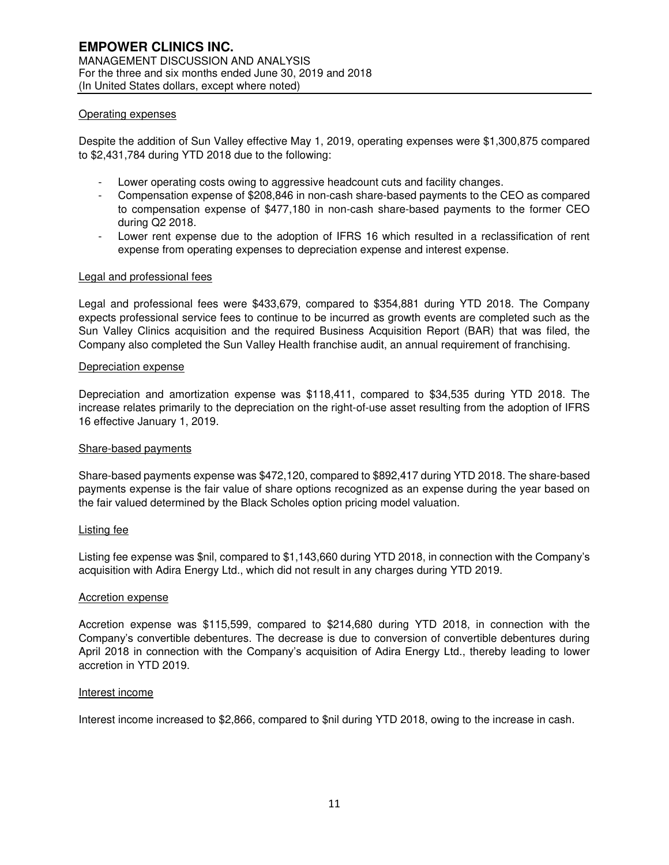#### Operating expenses

Despite the addition of Sun Valley effective May 1, 2019, operating expenses were \$1,300,875 compared to \$2,431,784 during YTD 2018 due to the following:

- Lower operating costs owing to aggressive headcount cuts and facility changes.
- Compensation expense of \$208,846 in non-cash share-based payments to the CEO as compared to compensation expense of \$477,180 in non-cash share-based payments to the former CEO during Q2 2018.
- Lower rent expense due to the adoption of IFRS 16 which resulted in a reclassification of rent expense from operating expenses to depreciation expense and interest expense.

#### Legal and professional fees

Legal and professional fees were \$433,679, compared to \$354,881 during YTD 2018. The Company expects professional service fees to continue to be incurred as growth events are completed such as the Sun Valley Clinics acquisition and the required Business Acquisition Report (BAR) that was filed, the Company also completed the Sun Valley Health franchise audit, an annual requirement of franchising.

#### Depreciation expense

Depreciation and amortization expense was \$118,411, compared to \$34,535 during YTD 2018. The increase relates primarily to the depreciation on the right-of-use asset resulting from the adoption of IFRS 16 effective January 1, 2019.

#### Share-based payments

Share-based payments expense was \$472,120, compared to \$892,417 during YTD 2018. The share-based payments expense is the fair value of share options recognized as an expense during the year based on the fair valued determined by the Black Scholes option pricing model valuation.

#### Listing fee

Listing fee expense was \$nil, compared to \$1,143,660 during YTD 2018, in connection with the Company's acquisition with Adira Energy Ltd., which did not result in any charges during YTD 2019.

#### Accretion expense

Accretion expense was \$115,599, compared to \$214,680 during YTD 2018, in connection with the Company's convertible debentures. The decrease is due to conversion of convertible debentures during April 2018 in connection with the Company's acquisition of Adira Energy Ltd., thereby leading to lower accretion in YTD 2019.

#### Interest income

Interest income increased to \$2,866, compared to \$nil during YTD 2018, owing to the increase in cash.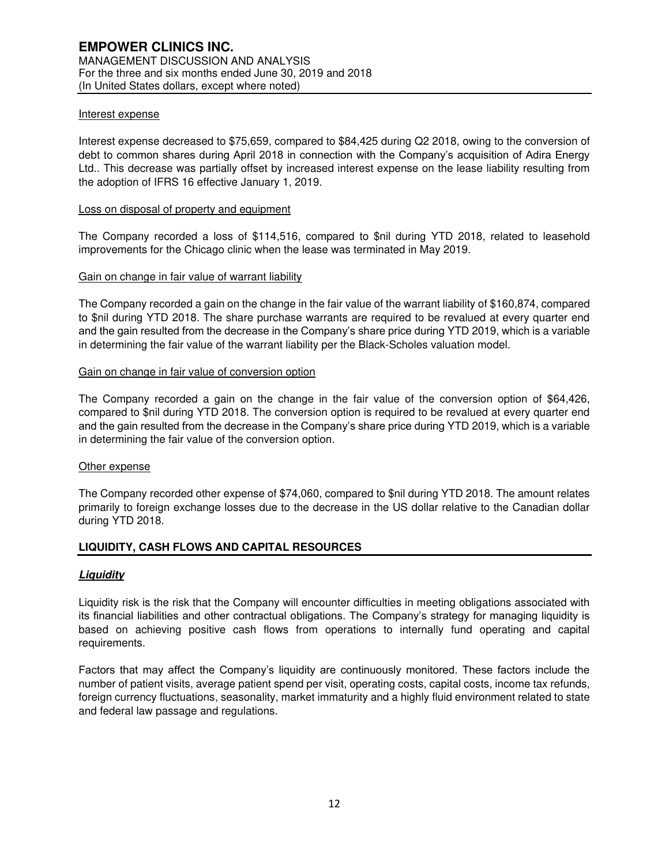#### Interest expense

Interest expense decreased to \$75,659, compared to \$84,425 during Q2 2018, owing to the conversion of debt to common shares during April 2018 in connection with the Company's acquisition of Adira Energy Ltd.. This decrease was partially offset by increased interest expense on the lease liability resulting from the adoption of IFRS 16 effective January 1, 2019.

#### Loss on disposal of property and equipment

The Company recorded a loss of \$114,516, compared to \$nil during YTD 2018, related to leasehold improvements for the Chicago clinic when the lease was terminated in May 2019.

#### Gain on change in fair value of warrant liability

The Company recorded a gain on the change in the fair value of the warrant liability of \$160,874, compared to \$nil during YTD 2018. The share purchase warrants are required to be revalued at every quarter end and the gain resulted from the decrease in the Company's share price during YTD 2019, which is a variable in determining the fair value of the warrant liability per the Black-Scholes valuation model.

#### Gain on change in fair value of conversion option

The Company recorded a gain on the change in the fair value of the conversion option of \$64,426, compared to \$nil during YTD 2018. The conversion option is required to be revalued at every quarter end and the gain resulted from the decrease in the Company's share price during YTD 2019, which is a variable in determining the fair value of the conversion option.

#### Other expense

The Company recorded other expense of \$74,060, compared to \$nil during YTD 2018. The amount relates primarily to foreign exchange losses due to the decrease in the US dollar relative to the Canadian dollar during YTD 2018.

#### **LIQUIDITY, CASH FLOWS AND CAPITAL RESOURCES**

#### **Liquidity**

Liquidity risk is the risk that the Company will encounter difficulties in meeting obligations associated with its financial liabilities and other contractual obligations. The Company's strategy for managing liquidity is based on achieving positive cash flows from operations to internally fund operating and capital requirements.

Factors that may affect the Company's liquidity are continuously monitored. These factors include the number of patient visits, average patient spend per visit, operating costs, capital costs, income tax refunds, foreign currency fluctuations, seasonality, market immaturity and a highly fluid environment related to state and federal law passage and regulations.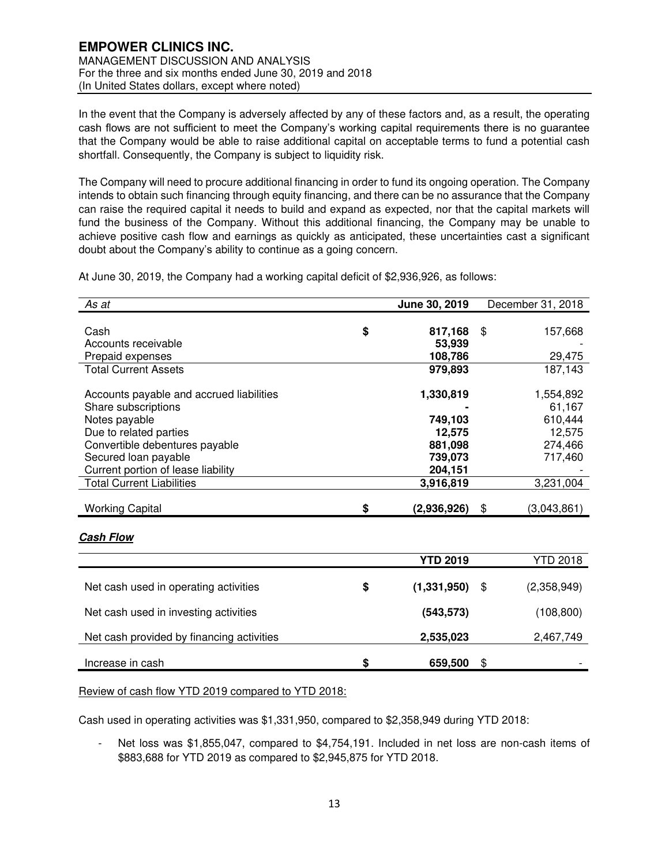In the event that the Company is adversely affected by any of these factors and, as a result, the operating cash flows are not sufficient to meet the Company's working capital requirements there is no guarantee that the Company would be able to raise additional capital on acceptable terms to fund a potential cash shortfall. Consequently, the Company is subject to liquidity risk.

The Company will need to procure additional financing in order to fund its ongoing operation. The Company intends to obtain such financing through equity financing, and there can be no assurance that the Company can raise the required capital it needs to build and expand as expected, nor that the capital markets will fund the business of the Company. Without this additional financing, the Company may be unable to achieve positive cash flow and earnings as quickly as anticipated, these uncertainties cast a significant doubt about the Company's ability to continue as a going concern.

| As at                                     | June 30, 2019     | December 31, 2018 |
|-------------------------------------------|-------------------|-------------------|
|                                           |                   |                   |
| Cash                                      | \$<br>817,168     | \$<br>157,668     |
| Accounts receivable                       | 53,939            |                   |
| Prepaid expenses                          | 108,786           | 29,475            |
| <b>Total Current Assets</b>               | 979,893           | 187,143           |
|                                           |                   |                   |
| Accounts payable and accrued liabilities  | 1,330,819         | 1,554,892         |
| Share subscriptions                       |                   | 61,167            |
| Notes payable                             | 749,103           | 610,444           |
| Due to related parties                    | 12,575            | 12,575            |
| Convertible debentures payable            | 881,098           | 274,466           |
| Secured loan payable                      | 739,073           | 717,460           |
| Current portion of lease liability        | 204,151           |                   |
| <b>Total Current Liabilities</b>          | 3,916,819         | 3,231,004         |
|                                           |                   |                   |
| <b>Working Capital</b>                    | \$<br>(2,936,926) | \$<br>(3,043,861) |
|                                           |                   |                   |
| <b>Cash Flow</b>                          |                   |                   |
|                                           | <b>YTD 2019</b>   | <b>YTD 2018</b>   |
|                                           |                   |                   |
| Net cash used in operating activities     | \$<br>(1,331,950) | \$<br>(2,358,949) |
| Net cash used in investing activities     | (543, 573)        | (108, 800)        |
|                                           |                   |                   |
| Net cash provided by financing activities | 2,535,023         | 2,467,749         |
| Increase in cash                          | \$<br>659,500     | \$                |
|                                           |                   |                   |

At June 30, 2019, the Company had a working capital deficit of \$2,936,926, as follows:

Review of cash flow YTD 2019 compared to YTD 2018:

Cash used in operating activities was \$1,331,950, compared to \$2,358,949 during YTD 2018:

Net loss was \$1,855,047, compared to \$4,754,191. Included in net loss are non-cash items of \$883,688 for YTD 2019 as compared to \$2,945,875 for YTD 2018.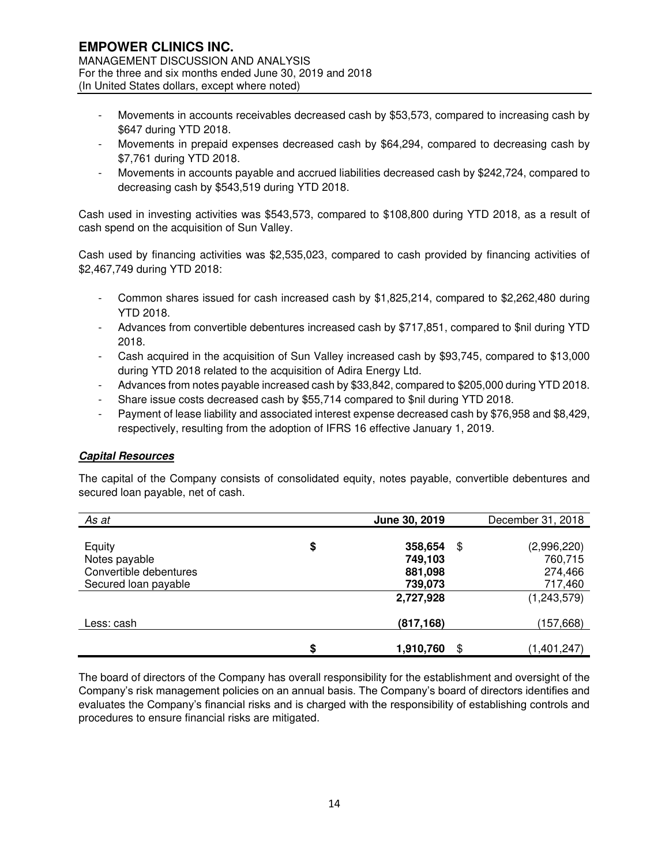- Movements in accounts receivables decreased cash by \$53,573, compared to increasing cash by \$647 during YTD 2018.
- Movements in prepaid expenses decreased cash by \$64,294, compared to decreasing cash by \$7,761 during YTD 2018.
- Movements in accounts payable and accrued liabilities decreased cash by \$242,724, compared to decreasing cash by \$543,519 during YTD 2018.

Cash used in investing activities was \$543,573, compared to \$108,800 during YTD 2018, as a result of cash spend on the acquisition of Sun Valley.

Cash used by financing activities was \$2,535,023, compared to cash provided by financing activities of \$2,467,749 during YTD 2018:

- Common shares issued for cash increased cash by \$1,825,214, compared to \$2,262,480 during YTD 2018.
- Advances from convertible debentures increased cash by \$717,851, compared to \$nil during YTD 2018.
- Cash acquired in the acquisition of Sun Valley increased cash by \$93,745, compared to \$13,000 during YTD 2018 related to the acquisition of Adira Energy Ltd.
- Advances from notes payable increased cash by \$33,842, compared to \$205,000 during YTD 2018.
- Share issue costs decreased cash by \$55,714 compared to \$nil during YTD 2018.
- Payment of lease liability and associated interest expense decreased cash by \$76,958 and \$8,429, respectively, resulting from the adoption of IFRS 16 effective January 1, 2019.

# **Capital Resources**

The capital of the Company consists of consolidated equity, notes payable, convertible debentures and secured loan payable, net of cash.

| As at                  | June 30, 2019         | December 31, 2018 |
|------------------------|-----------------------|-------------------|
|                        |                       |                   |
| Equity                 | \$<br>358,654<br>\$   | (2,996,220)       |
| Notes payable          | 749,103               | 760,715           |
| Convertible debentures | 881,098               | 274,466           |
| Secured loan payable   | 739,073               | 717,460           |
|                        | 2,727,928             | (1,243,579)       |
| Less: cash             | (817, 168)            | (157,668)         |
|                        | \$<br>1,910,760<br>\$ | (1,401,247)       |

The board of directors of the Company has overall responsibility for the establishment and oversight of the Company's risk management policies on an annual basis. The Company's board of directors identifies and evaluates the Company's financial risks and is charged with the responsibility of establishing controls and procedures to ensure financial risks are mitigated.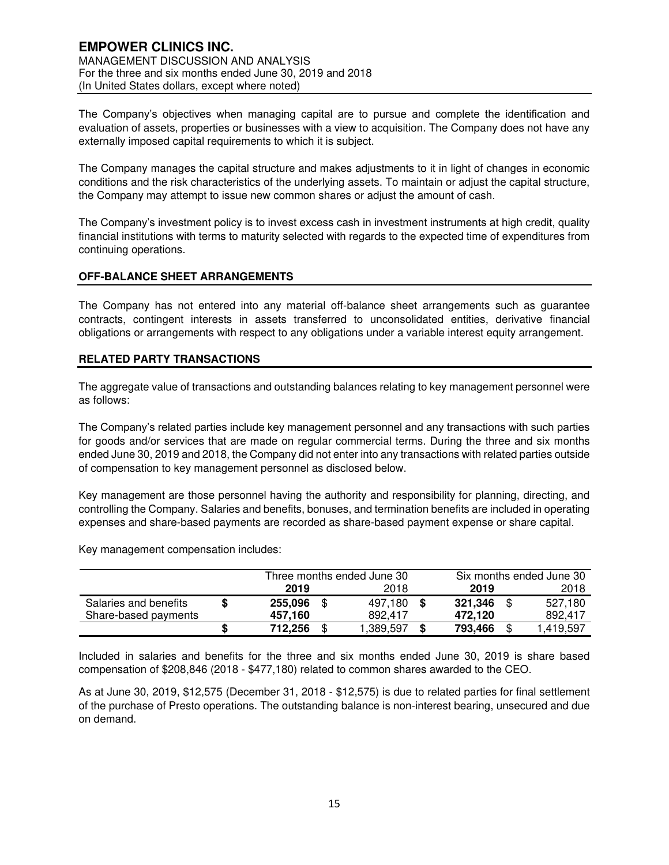The Company's objectives when managing capital are to pursue and complete the identification and evaluation of assets, properties or businesses with a view to acquisition. The Company does not have any externally imposed capital requirements to which it is subject.

The Company manages the capital structure and makes adjustments to it in light of changes in economic conditions and the risk characteristics of the underlying assets. To maintain or adjust the capital structure, the Company may attempt to issue new common shares or adjust the amount of cash.

The Company's investment policy is to invest excess cash in investment instruments at high credit, quality financial institutions with terms to maturity selected with regards to the expected time of expenditures from continuing operations.

# **OFF-BALANCE SHEET ARRANGEMENTS**

The Company has not entered into any material off-balance sheet arrangements such as guarantee contracts, contingent interests in assets transferred to unconsolidated entities, derivative financial obligations or arrangements with respect to any obligations under a variable interest equity arrangement.

#### **RELATED PARTY TRANSACTIONS**

The aggregate value of transactions and outstanding balances relating to key management personnel were as follows:

The Company's related parties include key management personnel and any transactions with such parties for goods and/or services that are made on regular commercial terms. During the three and six months ended June 30, 2019 and 2018, the Company did not enter into any transactions with related parties outside of compensation to key management personnel as disclosed below.

Key management are those personnel having the authority and responsibility for planning, directing, and controlling the Company. Salaries and benefits, bonuses, and termination benefits are included in operating expenses and share-based payments are recorded as share-based payment expense or share capital.

Key management compensation includes:

|                       | Three months ended June 30 |    |           | Six months ended June 30 |  |           |
|-----------------------|----------------------------|----|-----------|--------------------------|--|-----------|
|                       | 2019                       |    | 2018      | 2019                     |  | 2018      |
| Salaries and benefits | 255,096                    | \$ | 497.180   | 321,346                  |  | 527.180   |
| Share-based payments  | 457.160                    |    | 892.417   | 472.120                  |  | 892.417   |
|                       | 712.256                    | S  | 1,389,597 | 793,466                  |  | 1,419,597 |

Included in salaries and benefits for the three and six months ended June 30, 2019 is share based compensation of \$208,846 (2018 - \$477,180) related to common shares awarded to the CEO.

As at June 30, 2019, \$12,575 (December 31, 2018 - \$12,575) is due to related parties for final settlement of the purchase of Presto operations. The outstanding balance is non-interest bearing, unsecured and due on demand.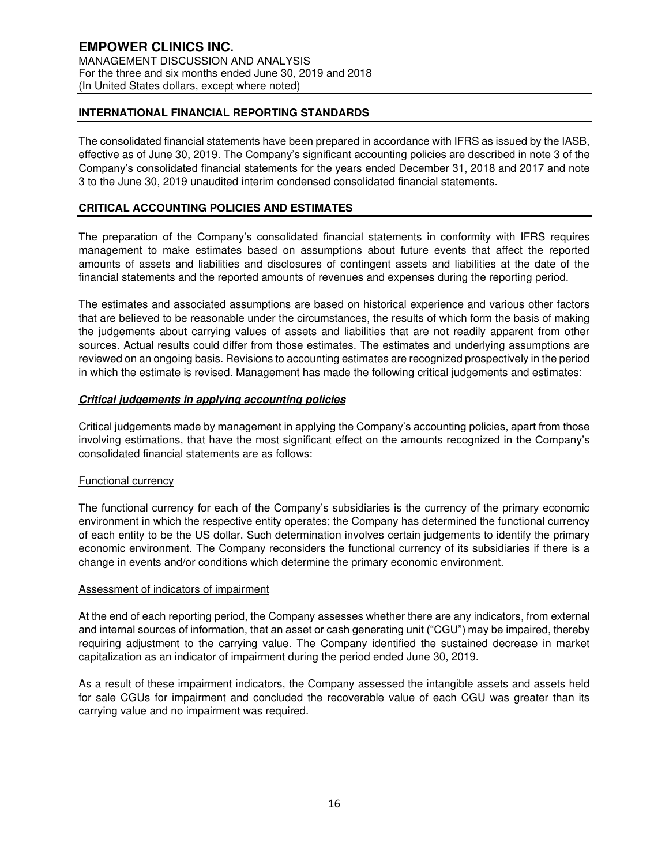# **INTERNATIONAL FINANCIAL REPORTING STANDARDS**

The consolidated financial statements have been prepared in accordance with IFRS as issued by the IASB, effective as of June 30, 2019. The Company's significant accounting policies are described in note 3 of the Company's consolidated financial statements for the years ended December 31, 2018 and 2017 and note 3 to the June 30, 2019 unaudited interim condensed consolidated financial statements.

# **CRITICAL ACCOUNTING POLICIES AND ESTIMATES**

The preparation of the Company's consolidated financial statements in conformity with IFRS requires management to make estimates based on assumptions about future events that affect the reported amounts of assets and liabilities and disclosures of contingent assets and liabilities at the date of the financial statements and the reported amounts of revenues and expenses during the reporting period.

The estimates and associated assumptions are based on historical experience and various other factors that are believed to be reasonable under the circumstances, the results of which form the basis of making the judgements about carrying values of assets and liabilities that are not readily apparent from other sources. Actual results could differ from those estimates. The estimates and underlying assumptions are reviewed on an ongoing basis. Revisions to accounting estimates are recognized prospectively in the period in which the estimate is revised. Management has made the following critical judgements and estimates:

#### **Critical judgements in applying accounting policies**

Critical judgements made by management in applying the Company's accounting policies, apart from those involving estimations, that have the most significant effect on the amounts recognized in the Company's consolidated financial statements are as follows:

#### Functional currency

The functional currency for each of the Company's subsidiaries is the currency of the primary economic environment in which the respective entity operates; the Company has determined the functional currency of each entity to be the US dollar. Such determination involves certain judgements to identify the primary economic environment. The Company reconsiders the functional currency of its subsidiaries if there is a change in events and/or conditions which determine the primary economic environment.

#### Assessment of indicators of impairment

At the end of each reporting period, the Company assesses whether there are any indicators, from external and internal sources of information, that an asset or cash generating unit ("CGU") may be impaired, thereby requiring adjustment to the carrying value. The Company identified the sustained decrease in market capitalization as an indicator of impairment during the period ended June 30, 2019.

As a result of these impairment indicators, the Company assessed the intangible assets and assets held for sale CGUs for impairment and concluded the recoverable value of each CGU was greater than its carrying value and no impairment was required.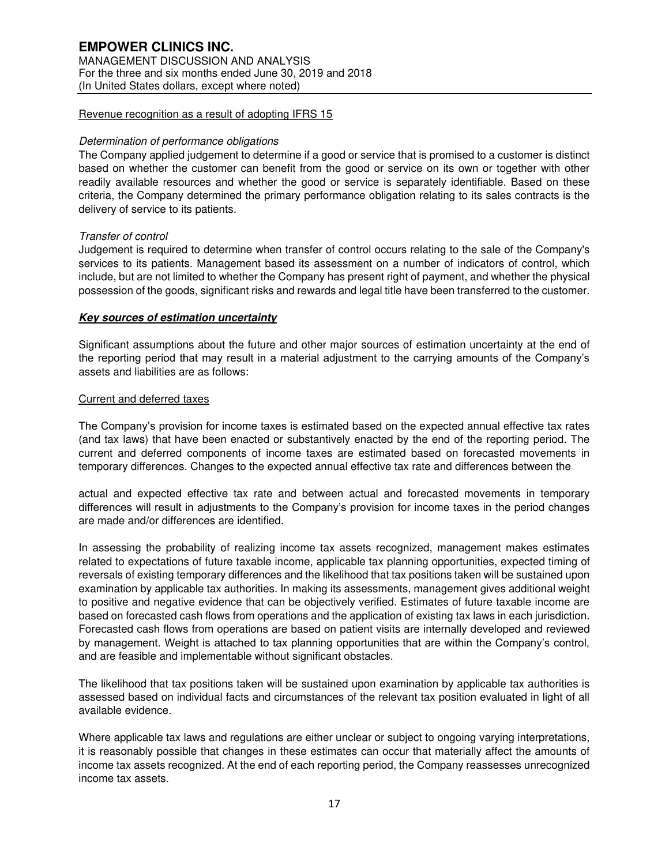# **EMPOWER CLINICS INC.**  MANAGEMENT DISCUSSION AND ANALYSIS For the three and six months ended June 30, 2019 and 2018 (In United States dollars, except where noted)

### Revenue recognition as a result of adopting IFRS 15

#### Determination of performance obligations

The Company applied judgement to determine if a good or service that is promised to a customer is distinct based on whether the customer can benefit from the good or service on its own or together with other readily available resources and whether the good or service is separately identifiable. Based on these criteria, the Company determined the primary performance obligation relating to its sales contracts is the delivery of service to its patients.

#### Transfer of control

Judgement is required to determine when transfer of control occurs relating to the sale of the Company's services to its patients. Management based its assessment on a number of indicators of control, which include, but are not limited to whether the Company has present right of payment, and whether the physical possession of the goods, significant risks and rewards and legal title have been transferred to the customer.

#### **Key sources of estimation uncertainty**

Significant assumptions about the future and other major sources of estimation uncertainty at the end of the reporting period that may result in a material adjustment to the carrying amounts of the Company's assets and liabilities are as follows:

#### Current and deferred taxes

The Company's provision for income taxes is estimated based on the expected annual effective tax rates (and tax laws) that have been enacted or substantively enacted by the end of the reporting period. The current and deferred components of income taxes are estimated based on forecasted movements in temporary differences. Changes to the expected annual effective tax rate and differences between the

actual and expected effective tax rate and between actual and forecasted movements in temporary differences will result in adjustments to the Company's provision for income taxes in the period changes are made and/or differences are identified.

In assessing the probability of realizing income tax assets recognized, management makes estimates related to expectations of future taxable income, applicable tax planning opportunities, expected timing of reversals of existing temporary differences and the likelihood that tax positions taken will be sustained upon examination by applicable tax authorities. In making its assessments, management gives additional weight to positive and negative evidence that can be objectively verified. Estimates of future taxable income are based on forecasted cash flows from operations and the application of existing tax laws in each jurisdiction. Forecasted cash flows from operations are based on patient visits are internally developed and reviewed by management. Weight is attached to tax planning opportunities that are within the Company's control, and are feasible and implementable without significant obstacles.

The likelihood that tax positions taken will be sustained upon examination by applicable tax authorities is assessed based on individual facts and circumstances of the relevant tax position evaluated in light of all available evidence.

Where applicable tax laws and regulations are either unclear or subject to ongoing varying interpretations, it is reasonably possible that changes in these estimates can occur that materially affect the amounts of income tax assets recognized. At the end of each reporting period, the Company reassesses unrecognized income tax assets.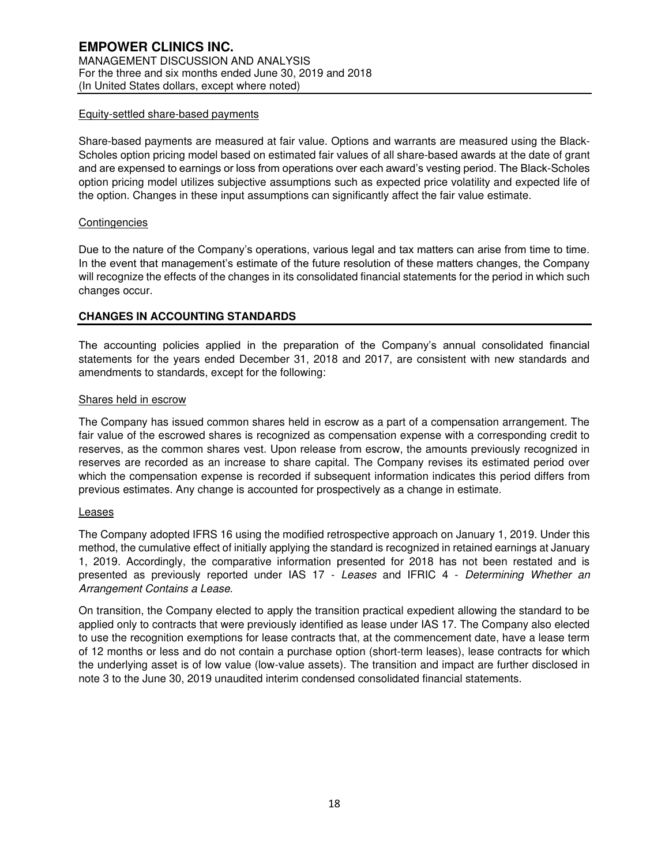# Equity-settled share-based payments

Share-based payments are measured at fair value. Options and warrants are measured using the Black-Scholes option pricing model based on estimated fair values of all share-based awards at the date of grant and are expensed to earnings or loss from operations over each award's vesting period. The Black-Scholes option pricing model utilizes subjective assumptions such as expected price volatility and expected life of the option. Changes in these input assumptions can significantly affect the fair value estimate.

# **Contingencies**

Due to the nature of the Company's operations, various legal and tax matters can arise from time to time. In the event that management's estimate of the future resolution of these matters changes, the Company will recognize the effects of the changes in its consolidated financial statements for the period in which such changes occur.

# **CHANGES IN ACCOUNTING STANDARDS**

The accounting policies applied in the preparation of the Company's annual consolidated financial statements for the years ended December 31, 2018 and 2017, are consistent with new standards and amendments to standards, except for the following:

# Shares held in escrow

The Company has issued common shares held in escrow as a part of a compensation arrangement. The fair value of the escrowed shares is recognized as compensation expense with a corresponding credit to reserves, as the common shares vest. Upon release from escrow, the amounts previously recognized in reserves are recorded as an increase to share capital. The Company revises its estimated period over which the compensation expense is recorded if subsequent information indicates this period differs from previous estimates. Any change is accounted for prospectively as a change in estimate.

#### Leases

The Company adopted IFRS 16 using the modified retrospective approach on January 1, 2019. Under this method, the cumulative effect of initially applying the standard is recognized in retained earnings at January 1, 2019. Accordingly, the comparative information presented for 2018 has not been restated and is presented as previously reported under IAS 17 - Leases and IFRIC 4 - Determining Whether an Arrangement Contains a Lease.

On transition, the Company elected to apply the transition practical expedient allowing the standard to be applied only to contracts that were previously identified as lease under IAS 17. The Company also elected to use the recognition exemptions for lease contracts that, at the commencement date, have a lease term of 12 months or less and do not contain a purchase option (short-term leases), lease contracts for which the underlying asset is of low value (low-value assets). The transition and impact are further disclosed in note 3 to the June 30, 2019 unaudited interim condensed consolidated financial statements.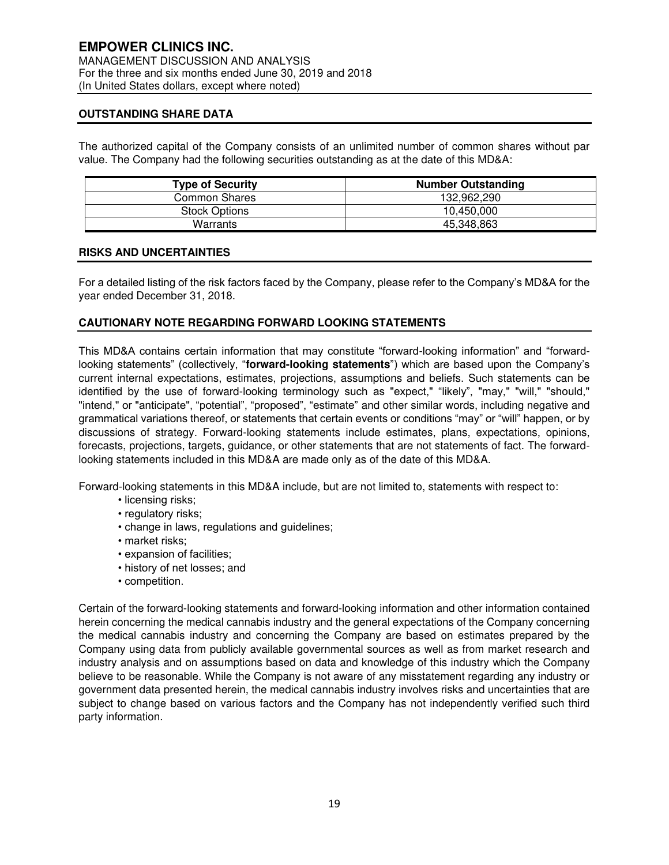# **OUTSTANDING SHARE DATA**

The authorized capital of the Company consists of an unlimited number of common shares without par value. The Company had the following securities outstanding as at the date of this MD&A:

| <b>Type of Security</b> | <b>Number Outstanding</b> |  |  |  |  |
|-------------------------|---------------------------|--|--|--|--|
| <b>Common Shares</b>    | 132,962,290               |  |  |  |  |
| <b>Stock Options</b>    | 10.450.000                |  |  |  |  |
| Warrants                | 45,348,863                |  |  |  |  |

#### **RISKS AND UNCERTAINTIES**

For a detailed listing of the risk factors faced by the Company, please refer to the Company's MD&A for the year ended December 31, 2018.

#### **CAUTIONARY NOTE REGARDING FORWARD LOOKING STATEMENTS**

This MD&A contains certain information that may constitute "forward-looking information" and "forwardlooking statements" (collectively, "**forward-looking statements**") which are based upon the Company's current internal expectations, estimates, projections, assumptions and beliefs. Such statements can be identified by the use of forward-looking terminology such as "expect," "likely", "may," "will," "should," "intend," or "anticipate", "potential", "proposed", "estimate" and other similar words, including negative and grammatical variations thereof, or statements that certain events or conditions "may" or "will" happen, or by discussions of strategy. Forward-looking statements include estimates, plans, expectations, opinions, forecasts, projections, targets, guidance, or other statements that are not statements of fact. The forwardlooking statements included in this MD&A are made only as of the date of this MD&A.

Forward-looking statements in this MD&A include, but are not limited to, statements with respect to:

- licensing risks;
	- regulatory risks;
	- change in laws, regulations and guidelines;
	- market risks;
	- expansion of facilities;
	- history of net losses; and
	- competition.

Certain of the forward-looking statements and forward-looking information and other information contained herein concerning the medical cannabis industry and the general expectations of the Company concerning the medical cannabis industry and concerning the Company are based on estimates prepared by the Company using data from publicly available governmental sources as well as from market research and industry analysis and on assumptions based on data and knowledge of this industry which the Company believe to be reasonable. While the Company is not aware of any misstatement regarding any industry or government data presented herein, the medical cannabis industry involves risks and uncertainties that are subject to change based on various factors and the Company has not independently verified such third party information.